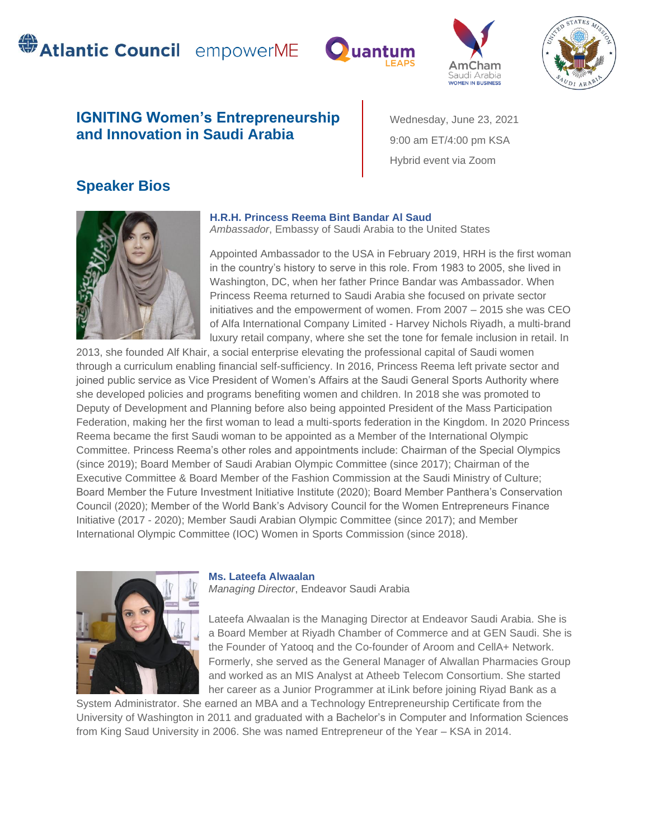# **SAtlantic Council** empowerME





Wednesday, June 23, 2021 9:00 am ET/4:00 pm KSA

Hybrid event via Zoom



# **IGNITING Women's Entrepreneurship and Innovation in Saudi Arabia**

# **Speaker Bios**



### **H.R.H. Princess Reema Bint Bandar Al Saud** Ambassador, Embassy of Saudi Arabia to the United States

Appointed Ambassador to the USA in February 2019, HRH is the first woman in the country's history to serve in this role. From 1983 to 2005, she lived in Washington, DC, when her father Prince Bandar was Ambassador. When Princess Reema returned to Saudi Arabia she focused on private sector initiatives and the empowerment of women. From 2007 – 2015 she was CEO of Alfa International Company Limited - Harvey Nichols Riyadh, a multi-brand luxury retail company, where she set the tone for female inclusion in retail. In

2013, she founded Alf Khair, a social enterprise elevating the professional capital of Saudi women through a curriculum enabling financial self-sufficiency. In 2016, Princess Reema left private sector and joined public service as Vice President of Women's Affairs at the Saudi General Sports Authority where she developed policies and programs benefiting women and children. In 2018 she was promoted to Deputy of Development and Planning before also being appointed President of the Mass Participation Federation, making her the first woman to lead a multi-sports federation in the Kingdom. In 2020 Princess Reema became the first Saudi woman to be appointed as a Member of the International Olympic Committee. Princess Reema's other roles and appointments include: Chairman of the Special Olympics (since 2019); Board Member of Saudi Arabian Olympic Committee (since 2017); Chairman of the Executive Committee & Board Member of the Fashion Commission at the Saudi Ministry of Culture; Board Member the Future Investment Initiative Institute (2020); Board Member Panthera's Conservation Council (2020); Member of the World Bank's Advisory Council for the Women Entrepreneurs Finance Initiative (2017 - 2020); Member Saudi Arabian Olympic Committee (since 2017); and Member International Olympic Committee (IOC) Women in Sports Commission (since 2018).



#### **Ms. Lateefa Alwaalan**

*Managing Director*, Endeavor Saudi Arabia

Lateefa Alwaalan is the Managing Director at Endeavor Saudi Arabia. She is a Board Member at Riyadh Chamber of Commerce and at GEN Saudi. She is the Founder of Yatooq and the Co-founder of Aroom and CellA+ Network. Formerly, she served as the General Manager of Alwallan Pharmacies Group and worked as an MIS Analyst at Atheeb Telecom Consortium. She started her career as a Junior Programmer at iLink before joining Riyad Bank as a

System Administrator. She earned an MBA and a Technology Entrepreneurship Certificate from the University of Washington in 2011 and graduated with a Bachelor's in Computer and Information Sciences from King Saud University in 2006. She was named Entrepreneur of the Year – KSA in 2014.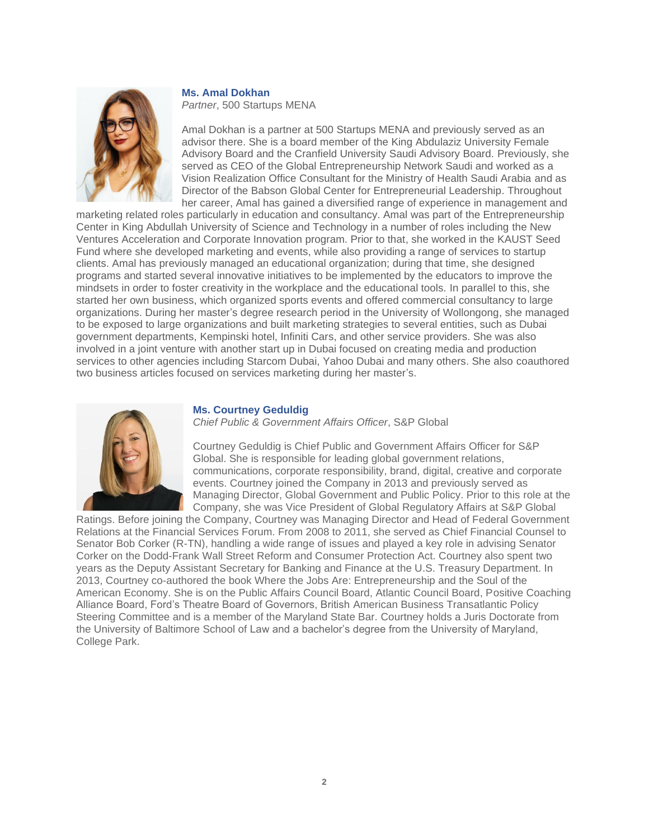

#### **Ms. Amal Dokhan**

*Partner*, 500 Startups MENA

Amal Dokhan is a partner at 500 Startups MENA and previously served as an advisor there. She is a board member of the King Abdulaziz University Female Advisory Board and the Cranfield University Saudi Advisory Board. Previously, she served as CEO of the Global Entrepreneurship Network Saudi and worked as a Vision Realization Office Consultant for the Ministry of Health Saudi Arabia and as Director of the Babson Global Center for Entrepreneurial Leadership. Throughout her career, Amal has gained a diversified range of experience in management and

marketing related roles particularly in education and consultancy. Amal was part of the Entrepreneurship Center in King Abdullah University of Science and Technology in a number of roles including the New Ventures Acceleration and Corporate Innovation program. Prior to that, she worked in the KAUST Seed Fund where she developed marketing and events, while also providing a range of services to startup clients. Amal has previously managed an educational organization; during that time, she designed programs and started several innovative initiatives to be implemented by the educators to improve the mindsets in order to foster creativity in the workplace and the educational tools. In parallel to this, she started her own business, which organized sports events and offered commercial consultancy to large organizations. During her master's degree research period in the University of Wollongong, she managed to be exposed to large organizations and built marketing strategies to several entities, such as Dubai government departments, Kempinski hotel, Infiniti Cars, and other service providers. She was also involved in a joint venture with another start up in Dubai focused on creating media and production services to other agencies including Starcom Dubai, Yahoo Dubai and many others. She also coauthored two business articles focused on services marketing during her master's.



#### **Ms. Courtney Geduldig**

*Chief Public & Government Affairs Officer*, S&P Global

Courtney Geduldig is Chief Public and Government Affairs Officer for S&P Global. She is responsible for leading global government relations, communications, corporate responsibility, brand, digital, creative and corporate events. Courtney joined the Company in 2013 and previously served as Managing Director, Global Government and Public Policy. Prior to this role at the Company, she was Vice President of Global Regulatory Affairs at S&P Global

Ratings. Before joining the Company, Courtney was Managing Director and Head of Federal Government Relations at the Financial Services Forum. From 2008 to 2011, she served as Chief Financial Counsel to Senator Bob Corker (R-TN), handling a wide range of issues and played a key role in advising Senator Corker on the Dodd-Frank Wall Street Reform and Consumer Protection Act. Courtney also spent two years as the Deputy Assistant Secretary for Banking and Finance at the U.S. Treasury Department. In 2013, Courtney co-authored the book Where the Jobs Are: Entrepreneurship and the Soul of the American Economy. She is on the Public Affairs Council Board, Atlantic Council Board, Positive Coaching Alliance Board, Ford's Theatre Board of Governors, British American Business Transatlantic Policy Steering Committee and is a member of the Maryland State Bar. Courtney holds a Juris Doctorate from the University of Baltimore School of Law and a bachelor's degree from the University of Maryland, College Park.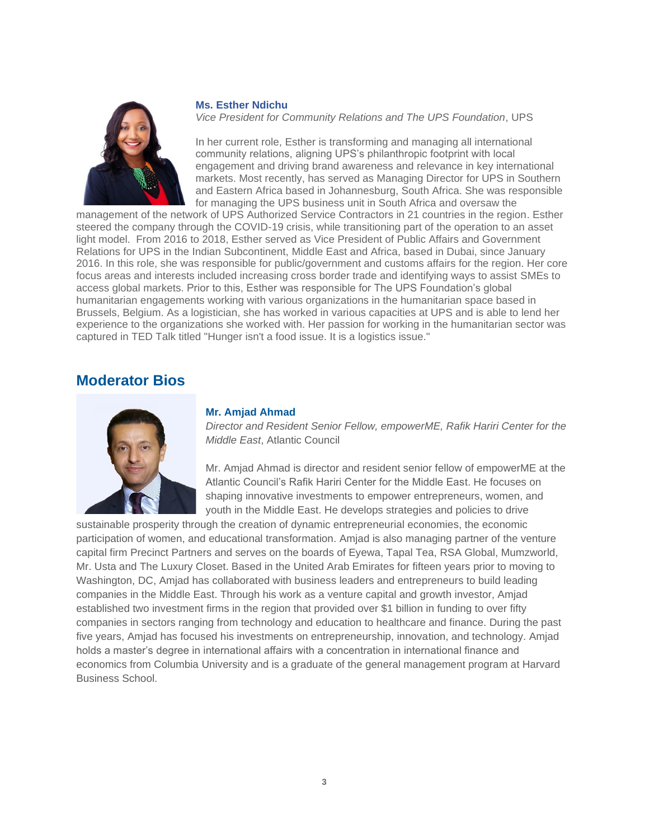

#### **Ms. Esther Ndichu**

*Vice President for Community Relations and The UPS Foundation*, UPS

In her current role, Esther is transforming and managing all international community relations, aligning UPS's philanthropic footprint with local engagement and driving brand awareness and relevance in key international markets. Most recently, has served as Managing Director for UPS in Southern and Eastern Africa based in Johannesburg, South Africa. She was responsible for managing the UPS business unit in South Africa and oversaw the

management of the network of UPS Authorized Service Contractors in 21 countries in the region. Esther steered the company through the COVID-19 crisis, while transitioning part of the operation to an asset light model. From 2016 to 2018, Esther served as Vice President of Public Affairs and Government Relations for UPS in the Indian Subcontinent, Middle East and Africa, based in Dubai, since January 2016. In this role, she was responsible for public/government and customs affairs for the region. Her core focus areas and interests included increasing cross border trade and identifying ways to assist SMEs to access global markets. Prior to this, Esther was responsible for The UPS Foundation's global humanitarian engagements working with various organizations in the humanitarian space based in Brussels, Belgium. As a logistician, she has worked in various capacities at UPS and is able to lend her experience to the organizations she worked with. Her passion for working in the humanitarian sector was captured in TED Talk titled "Hunger isn't a food issue. It is a logistics issue."

## **Moderator Bios**



#### **Mr. Amjad Ahmad**

*Director and Resident Senior Fellow, empowerME, Rafik Hariri Center for the Middle East*, Atlantic Council

Mr. Amjad Ahmad is director and resident senior fellow of empowerME at the Atlantic Council's Rafik Hariri Center for the Middle East. He focuses on shaping innovative investments to empower entrepreneurs, women, and youth in the Middle East. He develops strategies and policies to drive

sustainable prosperity through the creation of dynamic entrepreneurial economies, the economic participation of women, and educational transformation. Amjad is also managing partner of the venture capital firm Precinct Partners and serves on the boards of Eyewa, Tapal Tea, RSA Global, Mumzworld, Mr. Usta and The Luxury Closet. Based in the United Arab Emirates for fifteen years prior to moving to Washington, DC, Amjad has collaborated with business leaders and entrepreneurs to build leading companies in the Middle East. Through his work as a venture capital and growth investor, Amjad established two investment firms in the region that provided over \$1 billion in funding to over fifty companies in sectors ranging from technology and education to healthcare and finance. During the past five years, Amjad has focused his investments on entrepreneurship, innovation, and technology. Amjad holds a master's degree in international affairs with a concentration in international finance and economics from Columbia University and is a graduate of the general management program at Harvard Business School.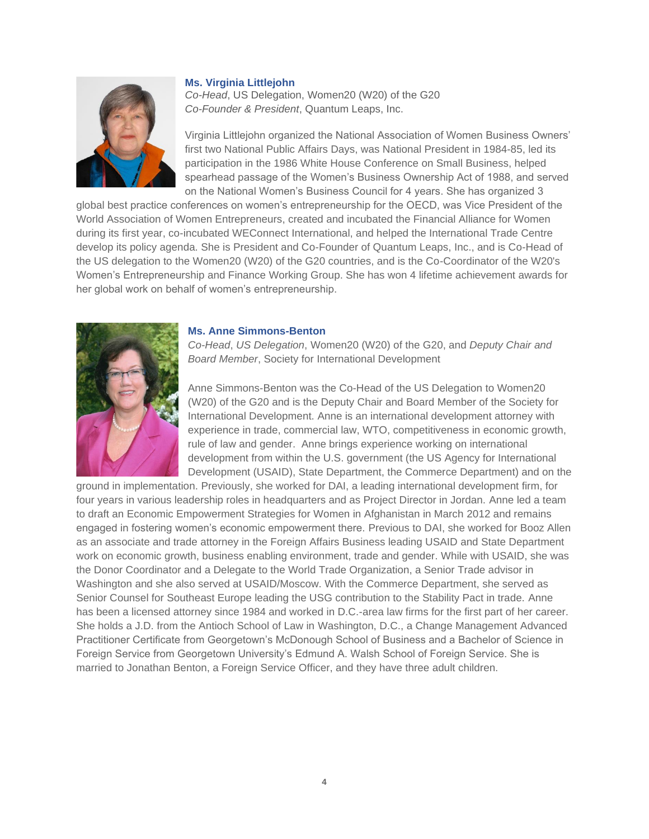#### **Ms. Virginia Littlejohn**



*Co-Head*, US Delegation, Women20 (W20) of the G20 *Co-Founder & President*, Quantum Leaps, Inc.

Virginia Littlejohn organized the National Association of Women Business Owners' first two National Public Affairs Days, was National President in 1984-85, led its participation in the 1986 White House Conference on Small Business, helped spearhead passage of the Women's Business Ownership Act of 1988, and served on the National Women's Business Council for 4 years. She has organized 3

global best practice conferences on women's entrepreneurship for the OECD, was Vice President of the World Association of Women Entrepreneurs, created and incubated the Financial Alliance for Women during its first year, co-incubated WEConnect International, and helped the International Trade Centre develop its policy agenda. She is President and Co-Founder of Quantum Leaps, Inc., and is Co-Head of the US delegation to the Women20 (W20) of the G20 countries, and is the Co-Coordinator of the W20's Women's Entrepreneurship and Finance Working Group. She has won 4 lifetime achievement awards for her global work on behalf of women's entrepreneurship.



#### **Ms. Anne Simmons-Benton**

*Co-Head*, *US Delegation*, Women20 (W20) of the G20, and *Deputy Chair and Board Member*, Society for International Development

Anne Simmons-Benton was the Co-Head of the US Delegation to Women20 (W20) of the G20 and is the Deputy Chair and Board Member of the Society for International Development. Anne is an international development attorney with experience in trade, commercial law, WTO, competitiveness in economic growth, rule of law and gender. Anne brings experience working on international development from within the U.S. government (the US Agency for International Development (USAID), State Department, the Commerce Department) and on the

ground in implementation. Previously, she worked for DAI, a leading international development firm, for four years in various leadership roles in headquarters and as Project Director in Jordan. Anne led a team to draft an Economic Empowerment Strategies for Women in Afghanistan in March 2012 and remains engaged in fostering women's economic empowerment there. Previous to DAI, she worked for Booz Allen as an associate and trade attorney in the Foreign Affairs Business leading USAID and State Department work on economic growth, business enabling environment, trade and gender. While with USAID, she was the Donor Coordinator and a Delegate to the World Trade Organization, a Senior Trade advisor in Washington and she also served at USAID/Moscow. With the Commerce Department, she served as Senior Counsel for Southeast Europe leading the USG contribution to the Stability Pact in trade. Anne has been a licensed attorney since 1984 and worked in D.C.-area law firms for the first part of her career. She holds a J.D. from the Antioch School of Law in Washington, D.C., a Change Management Advanced Practitioner Certificate from Georgetown's McDonough School of Business and a Bachelor of Science in Foreign Service from Georgetown University's Edmund A. Walsh School of Foreign Service. She is married to Jonathan Benton, a Foreign Service Officer, and they have three adult children.